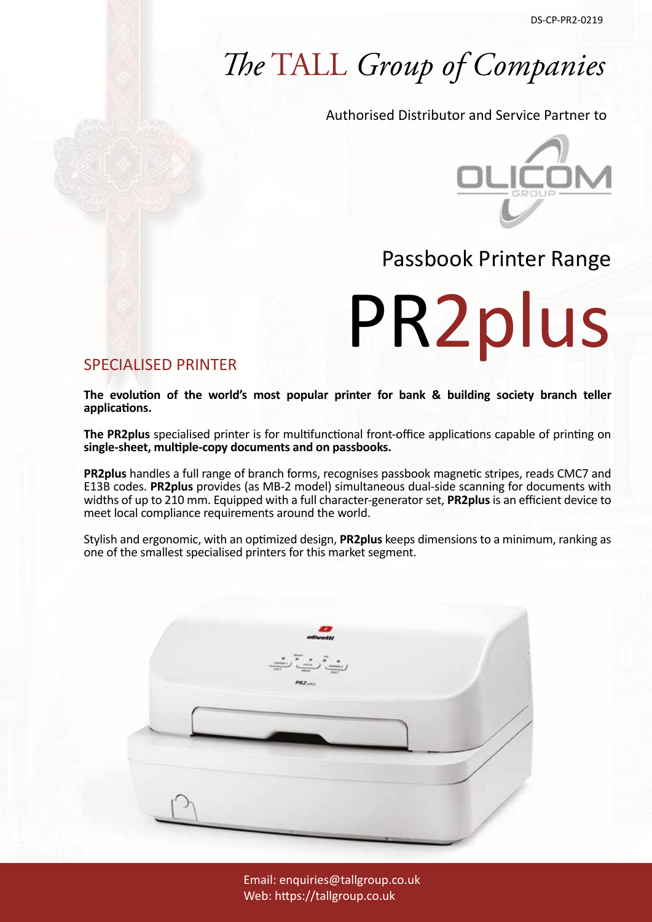## *The* TALL *Group of Companies*

Authorised Distributor and Service Partner to



### Passbook Printer Range

PR2plus

### SPECIALISED PRINTER

**The evolution of the world's most popular printer for bank & building society branch teller applications.**

**The PR2plus** specialised printer is for multifunctional front-office applications capable of printing on **single-sheet, multiple-copy documents and on passbooks.**

**PR2plus** handles a full range of branch forms, recognises passbook magnetic stripes, reads CMC7 and E13B codes. **PR2plus** provides (as MB-2 model) simultaneous dual-side scanning for documents with widths of up to 210 mm. Equipped with a full character-generator set, **PR2plus** is an efficient device to meet local compliance requirements around the world.

Stylish and ergonomic, with an optimized design, **PR2plus** keeps dimensions to a minimum, ranking as one of the smallest specialised printers for this market segment.



Email: enquiries@tallgroup.co.uk Web: https://tallgroup.co.uk